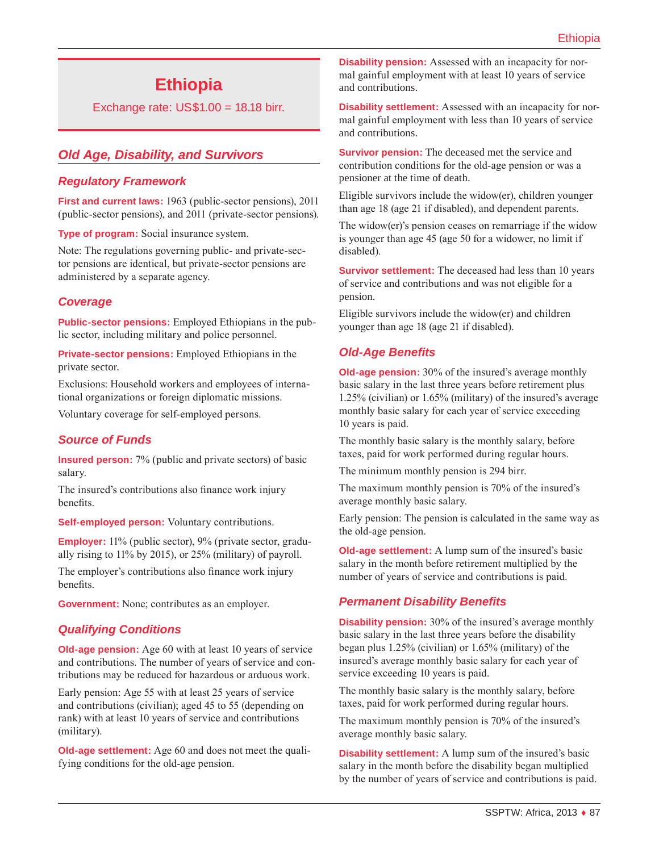# **Ethiopia**

Exchange rate: US\$1.00 = 18.18 birr.

# *Old Age, Disability, and Survivors*

# *Regulatory Framework*

**First and current laws:** 1963 (public-sector pensions), 2011 (public-sector pensions), and 2011 (private-sector pensions).

**Type of program:** Social insurance system.

Note: The regulations governing public- and private-sector pensions are identical, but private-sector pensions are administered by a separate agency.

# *Coverage*

**Public-sector pensions:** Employed Ethiopians in the public sector, including military and police personnel.

**Private-sector pensions:** Employed Ethiopians in the private sector.

Exclusions: Household workers and employees of international organizations or foreign diplomatic missions.

Voluntary coverage for self-employed persons.

## *Source of Funds*

**Insured person:** 7% (public and private sectors) of basic salary.

The insured's contributions also finance work injury benefits.

**Self-employed person:** Voluntary contributions.

**Employer:** 11% (public sector), 9% (private sector, gradually rising to 11% by 2015), or 25% (military) of payroll.

The employer's contributions also finance work injury benefits.

**Government:** None; contributes as an employer.

## *Qualifying Conditions*

**Old-age pension:** Age 60 with at least 10 years of service and contributions. The number of years of service and contributions may be reduced for hazardous or arduous work.

Early pension: Age 55 with at least 25 years of service and contributions (civilian); aged 45 to 55 (depending on rank) with at least 10 years of service and contributions (military).

**Old-age settlement:** Age 60 and does not meet the qualifying conditions for the old-age pension.

**Disability pension:** Assessed with an incapacity for normal gainful employment with at least 10 years of service and contributions.

**Disability settlement:** Assessed with an incapacity for normal gainful employment with less than 10 years of service and contributions.

**Survivor pension:** The deceased met the service and contribution conditions for the old-age pension or was a pensioner at the time of death.

Eligible survivors include the widow(er), children younger than age 18 (age 21 if disabled), and dependent parents.

The widow(er)'s pension ceases on remarriage if the widow is younger than age 45 (age 50 for a widower, no limit if disabled).

**Survivor settlement:** The deceased had less than 10 years of service and contributions and was not eligible for a pension.

Eligible survivors include the widow(er) and children younger than age 18 (age 21 if disabled).

# *Old-Age Benefits*

**Old-age pension:** 30% of the insured's average monthly basic salary in the last three years before retirement plus 1.25% (civilian) or 1.65% (military) of the insured's average monthly basic salary for each year of service exceeding 10 years is paid.

The monthly basic salary is the monthly salary, before taxes, paid for work performed during regular hours.

The minimum monthly pension is 294 birr.

The maximum monthly pension is 70% of the insured's average monthly basic salary.

Early pension: The pension is calculated in the same way as the old-age pension.

**Old-age settlement:** A lump sum of the insured's basic salary in the month before retirement multiplied by the number of years of service and contributions is paid.

# *Permanent Disability Benefits*

**Disability pension:** 30% of the insured's average monthly basic salary in the last three years before the disability began plus 1.25% (civilian) or 1.65% (military) of the insured's average monthly basic salary for each year of service exceeding 10 years is paid.

The monthly basic salary is the monthly salary, before taxes, paid for work performed during regular hours.

The maximum monthly pension is 70% of the insured's average monthly basic salary.

**Disability settlement:** A lump sum of the insured's basic salary in the month before the disability began multiplied by the number of years of service and contributions is paid.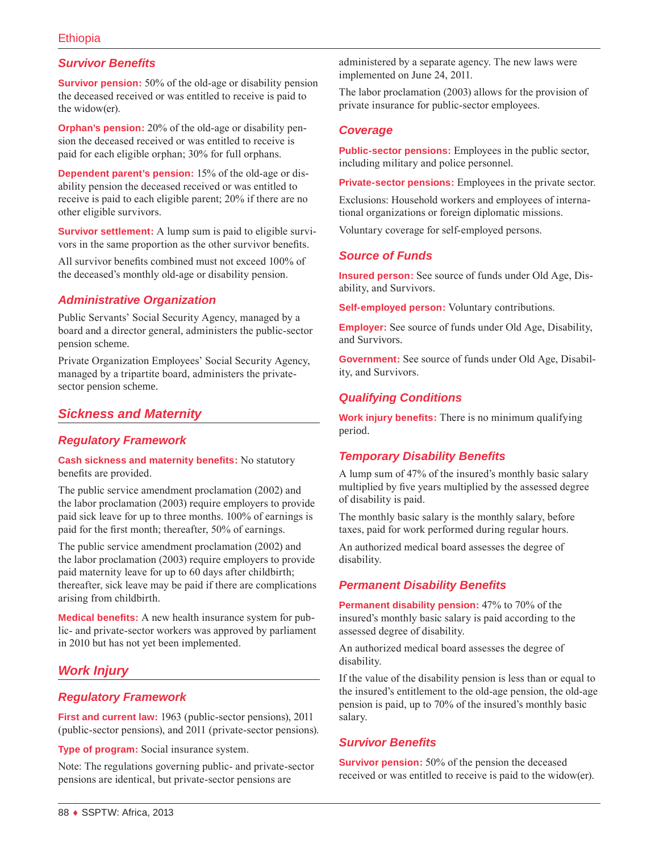# *Survivor Benefits*

**Survivor pension:** 50% of the old-age or disability pension the deceased received or was entitled to receive is paid to the widow(er).

**Orphan's pension:** 20% of the old-age or disability pension the deceased received or was entitled to receive is paid for each eligible orphan; 30% for full orphans.

**Dependent parent's pension:** 15% of the old-age or disability pension the deceased received or was entitled to receive is paid to each eligible parent; 20% if there are no other eligible survivors.

**Survivor settlement:** A lump sum is paid to eligible survivors in the same proportion as the other survivor benefits.

All survivor benefits combined must not exceed 100% of the deceased's monthly old-age or disability pension.

# *Administrative Organization*

Public Servants' Social Security Agency, managed by a board and a director general, administers the public-sector pension scheme.

Private Organization Employees' Social Security Agency, managed by a tripartite board, administers the privatesector pension scheme.

# *Sickness and Maternity*

## *Regulatory Framework*

#### **Cash sickness and maternity benefits:** No statutory benefits are provided.

The public service amendment proclamation (2002) and the labor proclamation (2003) require employers to provide paid sick leave for up to three months. 100% of earnings is paid for the first month; thereafter, 50% of earnings.

The public service amendment proclamation (2002) and the labor proclamation (2003) require employers to provide paid maternity leave for up to 60 days after childbirth; thereafter, sick leave may be paid if there are complications arising from childbirth.

**Medical benefits:** A new health insurance system for public- and private-sector workers was approved by parliament in 2010 but has not yet been implemented.

# *Work Injury*

## *Regulatory Framework*

**First and current law:** 1963 (public-sector pensions), 2011 (public-sector pensions), and 2011 (private-sector pensions).

**Type of program:** Social insurance system.

Note: The regulations governing public- and private-sector pensions are identical, but private-sector pensions are

administered by a separate agency. The new laws were implemented on June 24, 2011.

The labor proclamation (2003) allows for the provision of private insurance for public-sector employees.

## *Coverage*

**Public-sector pensions:** Employees in the public sector, including military and police personnel.

**Private-sector pensions:** Employees in the private sector.

Exclusions: Household workers and employees of international organizations or foreign diplomatic missions.

Voluntary coverage for self-employed persons.

## *Source of Funds*

**Insured person:** See source of funds under Old Age, Disability, and Survivors.

**Self-employed person:** Voluntary contributions.

**Employer:** See source of funds under Old Age, Disability, and Survivors.

**Government:** See source of funds under Old Age, Disability, and Survivors.

# *Qualifying Conditions*

**Work injury benefits:** There is no minimum qualifying period.

## *Temporary Disability Benefits*

A lump sum of 47% of the insured's monthly basic salary multiplied by five years multiplied by the assessed degree of disability is paid.

The monthly basic salary is the monthly salary, before taxes, paid for work performed during regular hours.

An authorized medical board assesses the degree of disability.

## *Permanent Disability Benefits*

**Permanent disability pension:** 47% to 70% of the insured's monthly basic salary is paid according to the assessed degree of disability.

An authorized medical board assesses the degree of disability.

If the value of the disability pension is less than or equal to the insured's entitlement to the old-age pension, the old-age pension is paid, up to 70% of the insured's monthly basic salary.

## *Survivor Benefits*

**Survivor pension:** 50% of the pension the deceased received or was entitled to receive is paid to the widow(er).